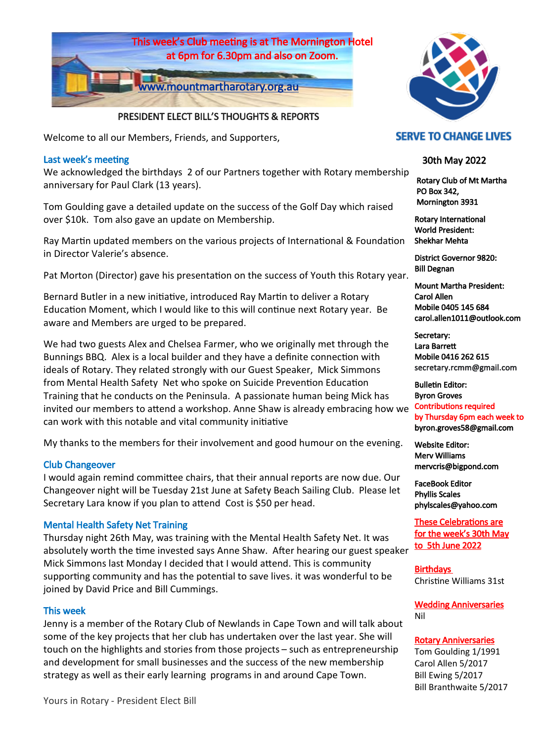

## PRESIDENT ELECT BILL'S THOUGHTS & REPORTS

Welcome to all our Members, Friends, and Supporters,

## Last week's meeting

We acknowledged the birthdays 2 of our Partners together with Rotary membership anniversary for Paul Clark (13 years).

Tom Goulding gave a detailed update on the success of the Golf Day which raised over \$10k. Tom also gave an update on Membership.

Ray Martin updated members on the various projects of International & Foundation in Director Valerie's absence.

Pat Morton (Director) gave his presentation on the success of Youth this Rotary year.

Bernard Butler in a new initiative, introduced Ray Martin to deliver a Rotary Education Moment, which I would like to this will continue next Rotary year. Be aware and Members are urged to be prepared.

We had two guests Alex and Chelsea Farmer, who we originally met through the Bunnings BBQ. Alex is a local builder and they have a definite connection with ideals of Rotary. They related strongly with our Guest Speaker, Mick Simmons from Mental Health Safety Net who spoke on Suicide Prevention Education Training that he conducts on the Peninsula. A passionate human being Mick has invited our members to attend a workshop. Anne Shaw is already embracing how we can work with this notable and vital community initiative

My thanks to the members for their involvement and good humour on the evening.

## Club Changeover

I would again remind committee chairs, that their annual reports are now due. Our Changeover night will be Tuesday 21st June at Safety Beach Sailing Club. Please let Secretary Lara know if you plan to attend Cost is \$50 per head.

## Mental Health Safety Net Training

Thursday night 26th May, was training with the Mental Health Safety Net. It was absolutely worth the time invested says Anne Shaw. After hearing our guest speaker Mick Simmons last Monday I decided that I would attend. This is community supporting community and has the potential to save lives. it was wonderful to be joined by David Price and Bill Cummings.

## This week

Jenny is a member of the Rotary Club of Newlands in Cape Town and will talk about some of the key projects that her club has undertaken over the last year. She will touch on the highlights and stories from those projects – such as entrepreneurship and development for small businesses and the success of the new membership strategy as well as their early learning programs in and around Cape Town.



## **SERVE TO CHANGE LIVES**

## 30th May 2022

 Rotary Club of Mt Martha PO Box 342, Mornington 3931

Rotary International World President: Shekhar Mehta

District Governor 9820: Bill Degnan

Mount Martha President: Carol Allen Mobile 0405 145 684 carol.allen1011@outlook.com

Secretary: Lara Barrett Mobile 0416 262 615 secretary.rcmm@gmail.com

Bulletin Editor: Byron Groves Contributions required by Thursday 6pm each week to byron.groves58@gmail.com

Website Editor: Merv Williams mervcris@bigpond.com

FaceBook Editor Phyllis Scales phylscales@yahoo.com

These Celebrations are for the week's 30th May to 5th June 2022

**Birthdays** Christine Williams 31st

Wedding Anniversaries Nil

## Rotary Anniversaries

Tom Goulding 1/1991 Carol Allen 5/2017 Bill Ewing 5/2017 Bill Branthwaite 5/2017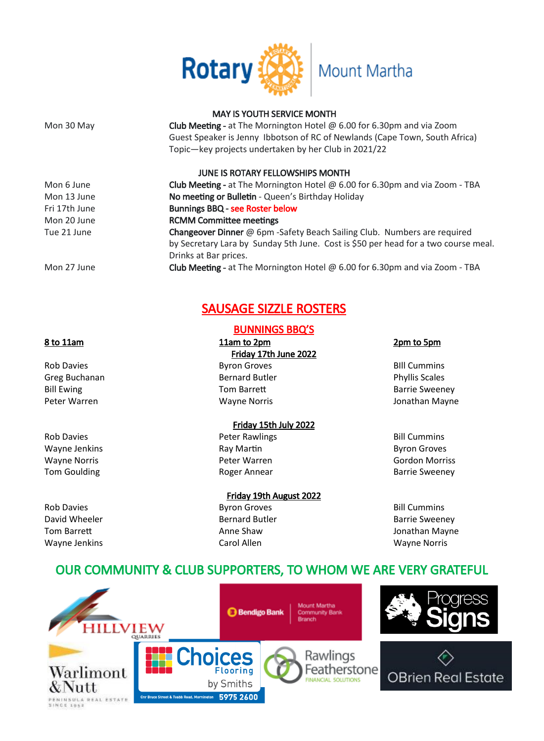

## MAY IS YOUTH SERVICE MONTH

Mon 30 May **Club Meeting** - at The Mornington Hotel @ 6.00 for 6.30pm and via Zoom Guest Speaker is Jenny Ibbotson of RC of Newlands (Cape Town, South Africa) Topic—key projects undertaken by her Club in 2021/22

## JUNE IS ROTARY FELLOWSHIPS MONTH

Mon 6 June Club Meeting - at The Mornington Hotel @ 6.00 for 6.30pm and via Zoom - TBA Mon 13 June **No meeting or Bulletin - Queen's Birthday Holiday** Fri 17th June **Bunnings BBQ - see Roster below** Mon 20 June **RCMM Committee meetings** Tue 21 June **Changeover Dinner** @ 6pm -Safety Beach Sailing Club. Numbers are required by Secretary Lara by Sunday 5th June. Cost is \$50 per head for a two course meal. Drinks at Bar prices. Mon 27 June Club Meeting - at The Mornington Hotel @ 6.00 for 6.30pm and via Zoom - TBA

# SAUSAGE SIZZLE ROSTERS

# BUNNINGS BBQ'S

8 to 11am 11am to 2pm 2pm 2pm to 5pm Friday 17th June 2022 Rob Davies **Byron Groves** Byron Groves **BILL Cummins** Greg Buchanan **Bernard Butler Bernard Butler Phyllis Scales Phyllis Scales** Bill Ewing **Tom Barrett Barrie Sweeney Barrie Sweeney** Peter Warren Wayne Norris Jonathan Mayne

## Friday 15th July 2022

Rob Davies **Rob Davies Rob Davies Peter Rawlings Bill Cummins** Wayne Jenkins **Ray Martin Byron Groves** Ray Martin **Ray Martin** Byron Groves Byron Groves Wayne Norris Peter Warren Gordon Morriss Tom Goulding Tom Goulding Tom Goulding Community Roger Annear Communications of Barrie Sweeney

Friday 19th August 2022 Rob Davies **Byron Groves** Byron Groves **Bill Cummins** David Wheeler **Bernard Butler** Bernard Butler **Barrie Sweeney** Tom Barrett **Anne Shaw** Anne Shaw Jonathan Mayne Wayne Jenkins Carol Allen Wayne Norris

# OUR COMMUNITY & CLUB SUPPORTERS, TO WHOM WE ARE VERY GRATEFUL

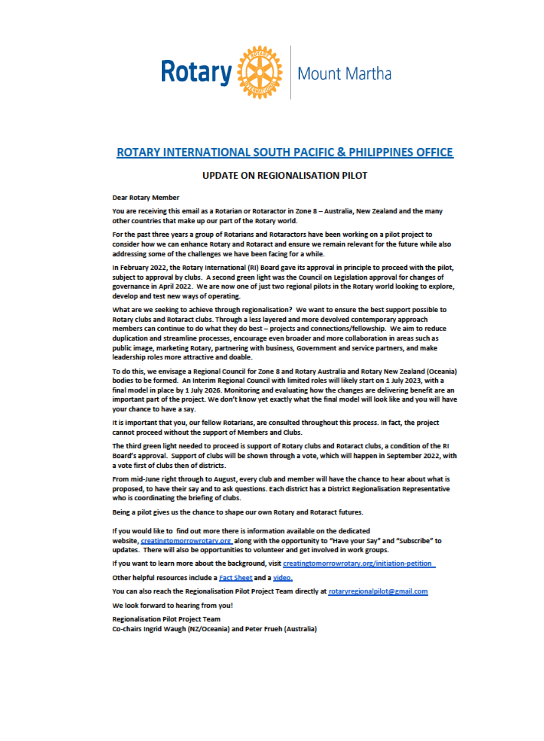

# **ROTARY INTERNATIONAL SOUTH PACIFIC & PHILIPPINES OFFICE**

#### **UPDATE ON REGIONALISATION PILOT**

**Dear Rotary Member** 

You are receiving this email as a Rotarian or Rotaractor in Zone 8 - Australia, New Zealand and the many other countries that make up our part of the Rotary world.

For the past three years a group of Rotarians and Rotaractors have been working on a pilot project to consider how we can enhance Rotary and Rotaract and ensure we remain relevant for the future while also addressing some of the challenges we have been facing for a while.

In February 2022, the Rotary International (RI) Board gave its approval in principle to proceed with the pilot, subject to approval by clubs. A second green light was the Council on Legislation approval for changes of governance in April 2022. We are now one of just two regional pilots in the Rotary world looking to explore, develop and test new ways of operating.

What are we seeking to achieve through regionalisation? We want to ensure the best support possible to Rotary clubs and Rotaract clubs. Through a less layered and more devolved contemporary approach members can continue to do what they do best - projects and connections/fellowship. We aim to reduce duplication and streamline processes, encourage even broader and more collaboration in areas such as public image, marketing Rotary, partnering with business, Government and service partners, and make leadership roles more attractive and doable.

To do this, we envisage a Regional Council for Zone 8 and Rotary Australia and Rotary New Zealand (Oceania) bodies to be formed. An Interim Regional Council with limited roles will likely start on 1 July 2023, with a final model in place by 1 July 2026. Monitoring and evaluating how the changes are delivering benefit are an important part of the project. We don't know yet exactly what the final model will look like and you will have your chance to have a say.

It is important that you, our fellow Rotarians, are consulted throughout this process. In fact, the project cannot proceed without the support of Members and Clubs.

The third green light needed to proceed is support of Rotary clubs and Rotaract clubs, a condition of the RI Board's approval. Support of clubs will be shown through a vote, which will happen in September 2022, with a vote first of clubs then of districts.

From mid-June right through to August, every club and member will have the chance to hear about what is proposed, to have their say and to ask questions. Each district has a District Regionalisation Representative who is coordinating the briefing of clubs.

Being a pilot gives us the chance to shape our own Rotary and Rotaract futures.

If you would like to find out more there is information available on the dedicated website, creatingtomorrowrotary.org\_along with the opportunity to "Have your Say" and "Subscribe" to updates. There will also be opportunities to volunteer and get involved in work groups.

If you want to learn more about the background, visit creatingtomorrowrotary.org/initiation-petition

Other helpful resources include a Fact Sheet and a video.

You can also reach the Regionalisation Pilot Project Team directly at rotaryregionalpilot@gmail.com

We look forward to hearing from you!

**Regionalisation Pilot Project Team** Co-chairs Ingrid Waugh (NZ/Oceania) and Peter Frueh (Australia)